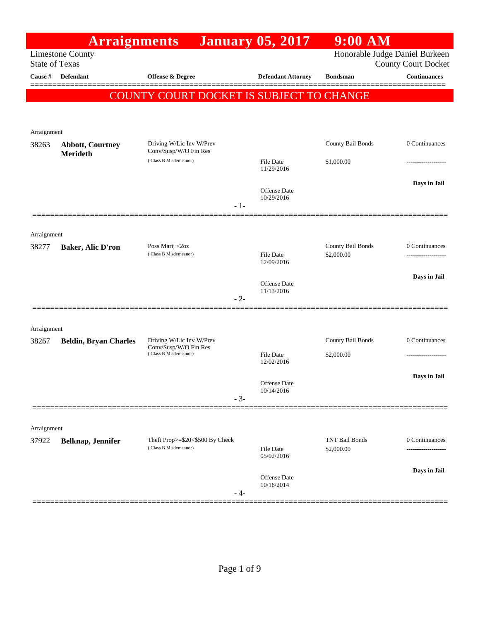|                       | <b>Arraignments</b>          |                                                   | <b>January 05, 2017</b>           | $9:00$ AM                      |                            |
|-----------------------|------------------------------|---------------------------------------------------|-----------------------------------|--------------------------------|----------------------------|
| <b>State of Texas</b> | <b>Limestone County</b>      |                                                   |                                   | Honorable Judge Daniel Burkeen | <b>County Court Docket</b> |
| Cause #               | <b>Defendant</b>             | Offense & Degree                                  | <b>Defendant Attorney</b>         | <b>Bondsman</b>                | <b>Continuances</b>        |
|                       |                              | COUNTY COURT DOCKET IS SUBJECT TO CHANGE          |                                   |                                |                            |
|                       |                              |                                                   |                                   |                                |                            |
| Arraignment           |                              |                                                   |                                   |                                |                            |
| 38263                 | <b>Abbott, Courtney</b>      | Driving W/Lic Inv W/Prev<br>Conv/Susp/W/O Fin Res |                                   | County Bail Bonds              | 0 Continuances             |
|                       | <b>Merideth</b>              | (Class B Misdemeanor)                             | <b>File Date</b><br>11/29/2016    | \$1,000.00                     |                            |
|                       |                              | $-1-$                                             | <b>Offense</b> Date<br>10/29/2016 |                                | Days in Jail               |
|                       |                              |                                                   |                                   |                                |                            |
| Arraignment           |                              |                                                   |                                   |                                |                            |
| 38277                 | <b>Baker, Alic D'ron</b>     | Poss Marij <2oz<br>(Class B Misdemeanor)          |                                   | County Bail Bonds              | 0 Continuances             |
|                       |                              |                                                   | <b>File Date</b><br>12/09/2016    | \$2,000.00                     |                            |
|                       |                              |                                                   | Offense Date                      |                                | Days in Jail               |
|                       |                              | $-2-$                                             | 11/13/2016                        |                                |                            |
|                       |                              |                                                   |                                   |                                |                            |
| Arraignment           |                              |                                                   |                                   |                                |                            |
| 38267                 | <b>Beldin, Bryan Charles</b> | Driving W/Lic Inv W/Prev<br>Conv/Susp/W/O Fin Res |                                   | County Bail Bonds              | 0 Continuances             |
|                       |                              | (Class B Misdemeanor)                             | <b>File Date</b><br>12/02/2016    | \$2,000.00                     |                            |
|                       |                              |                                                   |                                   |                                | Days in Jail               |
|                       |                              |                                                   | Offense Date<br>10/14/2016        |                                |                            |
|                       |                              | $-3-$                                             |                                   |                                |                            |
|                       |                              |                                                   |                                   |                                |                            |
| Arraignment<br>37922  |                              | Theft Prop>=\$20<\$500 By Check                   |                                   | <b>TNT Bail Bonds</b>          | 0 Continuances             |
|                       | Belknap, Jennifer            | (Class B Misdemeanor)                             | <b>File Date</b><br>05/02/2016    | \$2,000.00                     |                            |
|                       |                              |                                                   | Offense Date<br>10/16/2014        |                                | Days in Jail               |
|                       |                              | - 4-                                              |                                   |                                |                            |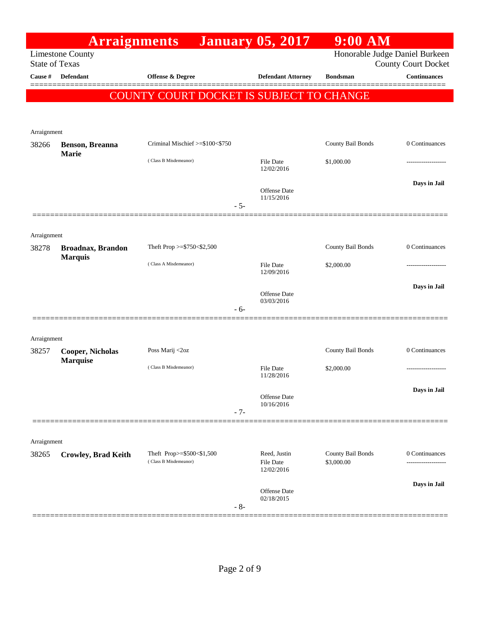|                       | <b>Arraignments</b>                        |                                          |       | <b>January 05, 2017</b>           | $9:00$ AM         |                                                              |
|-----------------------|--------------------------------------------|------------------------------------------|-------|-----------------------------------|-------------------|--------------------------------------------------------------|
| <b>State of Texas</b> | <b>Limestone County</b>                    |                                          |       |                                   |                   | Honorable Judge Daniel Burkeen<br><b>County Court Docket</b> |
| Cause #               | <b>Defendant</b>                           | <b>Offense &amp; Degree</b>              |       | <b>Defendant Attorney</b>         | <b>Bondsman</b>   | <b>Continuances</b>                                          |
|                       |                                            | COUNTY COURT DOCKET IS SUBJECT TO CHANGE |       |                                   |                   |                                                              |
|                       |                                            |                                          |       |                                   |                   |                                                              |
|                       |                                            |                                          |       |                                   |                   |                                                              |
| Arraignment<br>38266  | Benson, Breanna                            | Criminal Mischief >=\$100<\$750          |       |                                   | County Bail Bonds | 0 Continuances                                               |
|                       | <b>Marie</b>                               | (Class B Misdemeanor)                    |       | <b>File Date</b>                  | \$1,000.00        |                                                              |
|                       |                                            |                                          |       | 12/02/2016                        |                   |                                                              |
|                       |                                            |                                          |       | Offense Date                      |                   | Days in Jail                                                 |
|                       |                                            |                                          | $-5-$ | 11/15/2016                        |                   |                                                              |
|                       |                                            |                                          |       |                                   |                   |                                                              |
| Arraignment           |                                            |                                          |       |                                   |                   |                                                              |
| 38278                 | <b>Broadnax, Brandon</b>                   | Theft Prop >=\$750<\$2,500               |       |                                   | County Bail Bonds | 0 Continuances                                               |
|                       | <b>Marquis</b>                             | (Class A Misdemeanor)                    |       | File Date                         | \$2,000.00        |                                                              |
|                       |                                            |                                          |       | 12/09/2016                        |                   |                                                              |
|                       |                                            |                                          |       | <b>Offense Date</b><br>03/03/2016 |                   | Days in Jail                                                 |
|                       |                                            |                                          | $-6-$ |                                   |                   |                                                              |
|                       |                                            |                                          |       |                                   |                   |                                                              |
| Arraignment           |                                            |                                          |       |                                   |                   |                                                              |
| 38257                 | <b>Cooper, Nicholas</b><br><b>Marquise</b> | Poss Marij <2oz                          |       |                                   | County Bail Bonds | 0 Continuances                                               |
|                       |                                            | (Class B Misdemeanor)                    |       | <b>File Date</b><br>11/28/2016    | \$2,000.00        |                                                              |
|                       |                                            |                                          |       |                                   |                   | Days in Jail                                                 |
|                       |                                            |                                          |       | Offense Date<br>10/16/2016        |                   |                                                              |
|                       |                                            |                                          | $-7-$ |                                   |                   |                                                              |
| Arraignment           |                                            |                                          |       |                                   |                   |                                                              |
| 38265                 | <b>Crowley, Brad Keith</b>                 | Theft Prop>=\$500<\$1,500                |       | Reed, Justin                      | County Bail Bonds | 0 Continuances                                               |
|                       |                                            | (Class B Misdemeanor)                    |       | <b>File Date</b><br>12/02/2016    | \$3,000.00        |                                                              |
|                       |                                            |                                          |       |                                   |                   | Days in Jail                                                 |
|                       |                                            |                                          |       | Offense Date<br>02/18/2015        |                   |                                                              |
|                       |                                            |                                          | $-8-$ |                                   |                   |                                                              |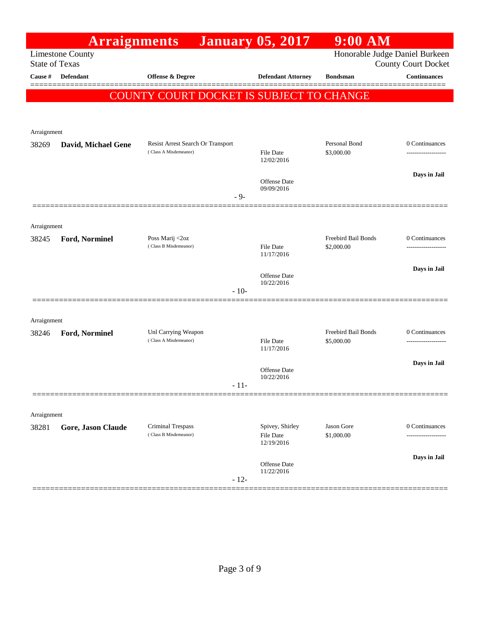|                       | <b>Arraignments</b>       |                                                   | <b>January 05, 2017</b>             | $9:00$ AM                                |                                                              |
|-----------------------|---------------------------|---------------------------------------------------|-------------------------------------|------------------------------------------|--------------------------------------------------------------|
| <b>State of Texas</b> | <b>Limestone County</b>   |                                                   |                                     |                                          | Honorable Judge Daniel Burkeen<br><b>County Court Docket</b> |
| Cause #               | <b>Defendant</b>          | <b>Offense &amp; Degree</b>                       | <b>Defendant Attorney</b>           | <b>Bondsman</b>                          | <b>Continuances</b>                                          |
|                       |                           | COUNTY COURT DOCKET IS SUBJECT TO CHANGE          |                                     |                                          | ------                                                       |
|                       |                           |                                                   |                                     |                                          |                                                              |
| Arraignment           |                           |                                                   |                                     |                                          |                                                              |
| 38269                 | David, Michael Gene       | Resist Arrest Search Or Transport                 |                                     | Personal Bond                            | 0 Continuances                                               |
|                       |                           | (Class A Misdemeanor)                             | <b>File Date</b><br>12/02/2016      | \$3,000.00                               |                                                              |
|                       |                           |                                                   | Offense Date                        |                                          | Days in Jail                                                 |
|                       |                           | $-9-$                                             | 09/09/2016                          |                                          |                                                              |
|                       |                           |                                                   |                                     |                                          |                                                              |
| Arraignment           |                           |                                                   |                                     |                                          |                                                              |
| 38245                 | Ford, Norminel            | Poss Marij <2oz<br>(Class B Misdemeanor)          | File Date                           | <b>Freebird Bail Bonds</b><br>\$2,000.00 | 0 Continuances                                               |
|                       |                           |                                                   | 11/17/2016                          |                                          | Days in Jail                                                 |
|                       |                           |                                                   | Offense Date<br>10/22/2016          |                                          |                                                              |
|                       |                           | $-10-$                                            |                                     |                                          |                                                              |
| Arraignment           |                           |                                                   |                                     |                                          |                                                              |
| 38246                 | Ford, Norminel            | Unl Carrying Weapon                               |                                     | Freebird Bail Bonds                      | 0 Continuances                                               |
|                       |                           | (Class A Misdemeanor)                             | File Date<br>11/17/2016             | \$5,000.00                               |                                                              |
|                       |                           |                                                   | Offense Date                        |                                          | Days in Jail                                                 |
|                       |                           | $-11-$                                            | 10/22/2016                          |                                          |                                                              |
|                       |                           |                                                   |                                     |                                          |                                                              |
| Arraignment           |                           |                                                   |                                     |                                          |                                                              |
| 38281                 | <b>Gore, Jason Claude</b> | <b>Criminal Trespass</b><br>(Class B Misdemeanor) | Spivey, Shirley<br><b>File Date</b> | <b>Jason Gore</b><br>\$1,000.00          | 0 Continuances                                               |
|                       |                           |                                                   | 12/19/2016                          |                                          |                                                              |
|                       |                           |                                                   | Offense Date<br>11/22/2016          |                                          | Days in Jail                                                 |
|                       |                           | $-12-$                                            |                                     |                                          |                                                              |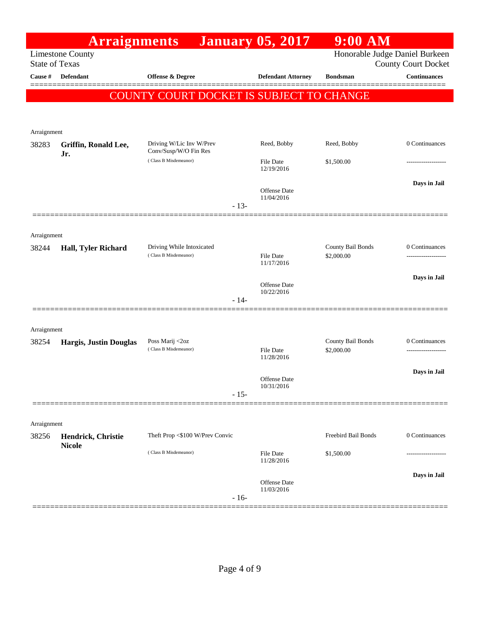|                       | <b>Arraignments</b>           |                                                   | <b>January 05, 2017</b>           | $9:00$ AM                      |                                                   |
|-----------------------|-------------------------------|---------------------------------------------------|-----------------------------------|--------------------------------|---------------------------------------------------|
| <b>State of Texas</b> | <b>Limestone County</b>       |                                                   |                                   | Honorable Judge Daniel Burkeen |                                                   |
| Cause #               | <b>Defendant</b>              | Offense & Degree                                  | <b>Defendant Attorney</b>         | <b>Bondsman</b>                | <b>County Court Docket</b><br><b>Continuances</b> |
|                       |                               |                                                   |                                   |                                | ======                                            |
|                       |                               | COUNTY COURT DOCKET IS SUBJECT TO CHANGE          |                                   |                                |                                                   |
|                       |                               |                                                   |                                   |                                |                                                   |
| Arraignment           |                               |                                                   |                                   |                                |                                                   |
| 38283                 | Griffin, Ronald Lee,<br>Jr.   | Driving W/Lic Inv W/Prev<br>Conv/Susp/W/O Fin Res | Reed, Bobby                       | Reed, Bobby                    | 0 Continuances                                    |
|                       |                               | (Class B Misdemeanor)                             | <b>File Date</b><br>12/19/2016    | \$1,500.00                     |                                                   |
|                       |                               |                                                   | <b>Offense Date</b>               |                                | Days in Jail                                      |
|                       |                               | $-13-$                                            | 11/04/2016                        |                                |                                                   |
|                       |                               |                                                   |                                   |                                |                                                   |
| Arraignment           |                               |                                                   |                                   |                                |                                                   |
| 38244                 | Hall, Tyler Richard           | Driving While Intoxicated                         |                                   | County Bail Bonds              | 0 Continuances                                    |
|                       |                               | (Class B Misdemeanor)                             | <b>File Date</b><br>11/17/2016    | \$2,000.00                     | ------------------                                |
|                       |                               |                                                   | <b>Offense Date</b>               |                                | Days in Jail                                      |
|                       |                               | $-14-$                                            | 10/22/2016                        |                                |                                                   |
|                       |                               |                                                   |                                   |                                |                                                   |
| Arraignment           |                               |                                                   |                                   |                                |                                                   |
| 38254                 | <b>Hargis, Justin Douglas</b> | Poss Marij <2oz                                   |                                   | County Bail Bonds              | 0 Continuances                                    |
|                       |                               | (Class B Misdemeanor)                             | <b>File Date</b><br>11/28/2016    | \$2,000.00                     |                                                   |
|                       |                               |                                                   |                                   |                                | Days in Jail                                      |
|                       |                               | $-15-$                                            | <b>Offense</b> Date<br>10/31/2016 |                                |                                                   |
|                       |                               |                                                   |                                   |                                |                                                   |
| Arraignment           |                               |                                                   |                                   |                                |                                                   |
| 38256                 | Hendrick, Christie            | Theft Prop <\$100 W/Prev Convic                   |                                   | Freebird Bail Bonds            | 0 Continuances                                    |
|                       | <b>Nicole</b>                 | (Class B Misdemeanor)                             | <b>File Date</b><br>11/28/2016    | \$1,500.00                     |                                                   |
|                       |                               |                                                   |                                   |                                | Days in Jail                                      |
|                       |                               | $-16-$                                            | <b>Offense Date</b><br>11/03/2016 |                                |                                                   |
|                       |                               |                                                   |                                   |                                |                                                   |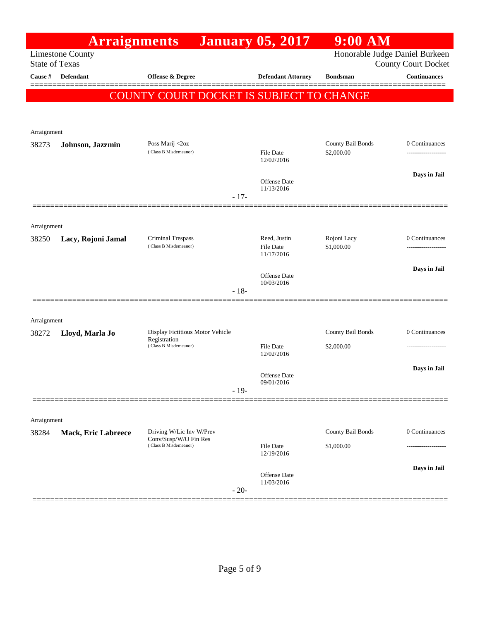|                       | <b>Arraignments</b>        |                                                   |        | <b>January 05, 2017</b>          | $9:00$ AM                       |                                                              |
|-----------------------|----------------------------|---------------------------------------------------|--------|----------------------------------|---------------------------------|--------------------------------------------------------------|
| <b>State of Texas</b> | <b>Limestone County</b>    |                                                   |        |                                  |                                 | Honorable Judge Daniel Burkeen<br><b>County Court Docket</b> |
| Cause #               | <b>Defendant</b>           | <b>Offense &amp; Degree</b>                       |        | <b>Defendant Attorney</b>        | <b>Bondsman</b>                 | <b>Continuances</b>                                          |
|                       |                            | COUNTY COURT DOCKET IS SUBJECT TO CHANGE          |        |                                  |                                 |                                                              |
|                       |                            |                                                   |        |                                  |                                 |                                                              |
| Arraignment           |                            |                                                   |        |                                  |                                 |                                                              |
| 38273                 | Johnson, Jazzmin           | Poss Marij <2oz<br>(Class B Misdemeanor)          |        | <b>File Date</b>                 | County Bail Bonds<br>\$2,000.00 | 0 Continuances<br>------------------                         |
|                       |                            |                                                   |        | 12/02/2016                       |                                 |                                                              |
|                       |                            |                                                   |        | <b>Offense Date</b>              |                                 | Days in Jail                                                 |
|                       |                            |                                                   | $-17-$ | 11/13/2016                       |                                 |                                                              |
|                       |                            |                                                   |        |                                  |                                 |                                                              |
| Arraignment           |                            |                                                   |        |                                  |                                 |                                                              |
| 38250                 | Lacy, Rojoni Jamal         | <b>Criminal Trespass</b><br>(Class B Misdemeanor) |        | Reed, Justin<br><b>File Date</b> | Rojoni Lacy<br>\$1,000.00       | 0 Continuances                                               |
|                       |                            |                                                   |        | 11/17/2016                       |                                 | Days in Jail                                                 |
|                       |                            |                                                   |        | Offense Date<br>10/03/2016       |                                 |                                                              |
|                       |                            |                                                   | $-18-$ |                                  |                                 |                                                              |
| Arraignment           |                            |                                                   |        |                                  |                                 |                                                              |
| 38272                 | Lloyd, Marla Jo            | Display Fictitious Motor Vehicle                  |        |                                  | County Bail Bonds               | 0 Continuances                                               |
|                       |                            | Registration<br>(Class B Misdemeanor)             |        | <b>File Date</b><br>12/02/2016   | \$2,000.00                      | -------------------                                          |
|                       |                            |                                                   |        |                                  |                                 | Days in Jail                                                 |
|                       |                            |                                                   |        | Offense Date<br>09/01/2016       |                                 |                                                              |
|                       |                            |                                                   | $-19-$ |                                  |                                 |                                                              |
| Arraignment           |                            |                                                   |        |                                  |                                 |                                                              |
| 38284                 | <b>Mack, Eric Labreece</b> | Driving W/Lic Inv W/Prev                          |        |                                  | County Bail Bonds               | 0 Continuances                                               |
|                       |                            | Conv/Susp/W/O Fin Res<br>(Class B Misdemeanor)    |        | <b>File Date</b><br>12/19/2016   | \$1,000.00                      |                                                              |
|                       |                            |                                                   |        |                                  |                                 | Days in Jail                                                 |
|                       |                            |                                                   |        | Offense Date<br>11/03/2016       |                                 |                                                              |
|                       |                            |                                                   | $-20-$ |                                  |                                 |                                                              |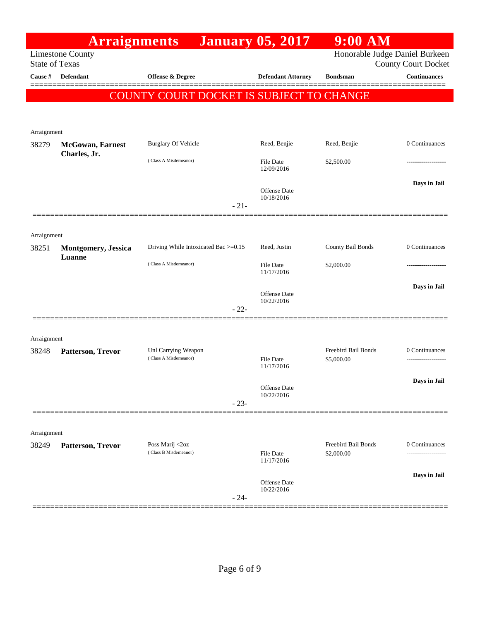|                       | <b>Arraignments</b>         |                                              | <b>January 05, 2017</b>           | $9:00$ AM                         |                                     |
|-----------------------|-----------------------------|----------------------------------------------|-----------------------------------|-----------------------------------|-------------------------------------|
| <b>State of Texas</b> | <b>Limestone County</b>     |                                              |                                   | Honorable Judge Daniel Burkeen    | <b>County Court Docket</b>          |
| Cause #               | <b>Defendant</b>            | Offense & Degree                             | <b>Defendant Attorney</b>         | <b>Bondsman</b>                   | <b>Continuances</b><br>=======      |
|                       |                             | COUNTY COURT DOCKET IS SUBJECT TO CHANGE     |                                   |                                   |                                     |
|                       |                             |                                              |                                   |                                   |                                     |
| Arraignment           |                             |                                              |                                   |                                   |                                     |
| 38279                 | <b>McGowan</b> , Earnest    | <b>Burglary Of Vehicle</b>                   | Reed, Benjie                      | Reed, Benjie                      | 0 Continuances                      |
|                       | Charles, Jr.                | (Class A Misdemeanor)                        | <b>File Date</b><br>12/09/2016    | \$2,500.00                        |                                     |
|                       |                             |                                              | Offense Date<br>10/18/2016        |                                   | Days in Jail                        |
|                       |                             | $-21-$                                       |                                   |                                   |                                     |
| Arraignment           |                             |                                              |                                   |                                   |                                     |
| 38251                 | <b>Montgomery</b> , Jessica | Driving While Intoxicated Bac >=0.15         | Reed, Justin                      | County Bail Bonds                 | 0 Continuances                      |
|                       | Luanne                      | (Class A Misdemeanor)                        | <b>File Date</b><br>11/17/2016    | \$2,000.00                        |                                     |
|                       |                             |                                              |                                   |                                   | Days in Jail                        |
|                       |                             | $-22-$                                       | Offense Date<br>10/22/2016        |                                   |                                     |
|                       |                             |                                              |                                   |                                   |                                     |
| Arraignment           |                             |                                              |                                   |                                   |                                     |
| 38248                 | Patterson, Trevor           | Unl Carrying Weapon<br>(Class A Misdemeanor) | <b>File Date</b><br>11/17/2016    | Freebird Bail Bonds<br>\$5,000.00 | 0 Continuances<br>----------------- |
|                       |                             |                                              | Offense Date                      |                                   | Days in Jail                        |
|                       |                             | $-23-$                                       | 10/22/2016                        |                                   |                                     |
|                       |                             |                                              |                                   |                                   |                                     |
| Arraignment           |                             |                                              |                                   |                                   |                                     |
| 38249                 | Patterson, Trevor           | Poss Marij <2oz<br>(Class B Misdemeanor)     | File Date<br>11/17/2016           | Freebird Bail Bonds<br>\$2,000.00 | 0 Continuances                      |
|                       |                             |                                              |                                   |                                   | Days in Jail                        |
|                       |                             | $-24-$                                       | <b>Offense</b> Date<br>10/22/2016 |                                   |                                     |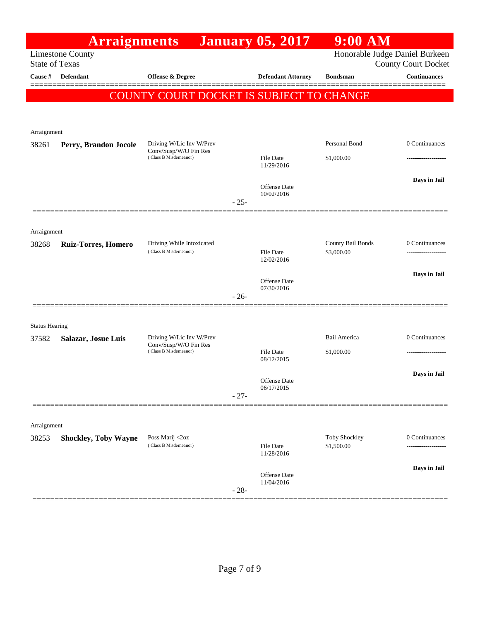|                       | <b>Arraignments</b>                              |                                                    |        | <b>January 05, 2017</b>           | $9:00$ AM                              |                            |
|-----------------------|--------------------------------------------------|----------------------------------------------------|--------|-----------------------------------|----------------------------------------|----------------------------|
|                       | <b>Limestone County</b><br><b>State of Texas</b> |                                                    |        |                                   | Honorable Judge Daniel Burkeen         | <b>County Court Docket</b> |
| Cause #               | <b>Defendant</b>                                 | Offense & Degree                                   |        | <b>Defendant Attorney</b>         | <b>Bondsman</b>                        | <b>Continuances</b>        |
|                       |                                                  | COUNTY COURT DOCKET IS SUBJECT TO CHANGE           |        |                                   |                                        |                            |
|                       |                                                  |                                                    |        |                                   |                                        |                            |
| Arraignment           |                                                  |                                                    |        |                                   |                                        |                            |
| 38261                 | Perry, Brandon Jocole                            | Driving W/Lic Inv W/Prev<br>Conv/Susp/W/O Fin Res  |        |                                   | Personal Bond                          | 0 Continuances             |
|                       |                                                  | (Class B Misdemeanor)                              |        | File Date<br>11/29/2016           | \$1,000.00                             |                            |
|                       |                                                  |                                                    |        | Offense Date                      |                                        | Days in Jail               |
|                       |                                                  |                                                    | $-25-$ | 10/02/2016                        |                                        |                            |
|                       |                                                  |                                                    |        |                                   |                                        |                            |
| Arraignment           |                                                  |                                                    |        |                                   |                                        |                            |
| 38268                 | <b>Ruiz-Torres, Homero</b>                       | Driving While Intoxicated<br>(Class B Misdemeanor) |        | <b>File Date</b>                  | <b>County Bail Bonds</b><br>\$3,000.00 | 0 Continuances<br>         |
|                       |                                                  |                                                    |        | 12/02/2016                        |                                        | Days in Jail               |
|                       |                                                  |                                                    |        | <b>Offense Date</b><br>07/30/2016 |                                        |                            |
|                       |                                                  |                                                    | $-26-$ |                                   |                                        |                            |
| <b>Status Hearing</b> |                                                  |                                                    |        |                                   |                                        |                            |
| 37582                 | Salazar, Josue Luis                              | Driving W/Lic Inv W/Prev                           |        |                                   | Bail America                           | 0 Continuances             |
|                       |                                                  | Conv/Susp/W/O Fin Res<br>(Class B Misdemeanor)     |        | <b>File Date</b><br>08/12/2015    | \$1,000.00                             | ---------------            |
|                       |                                                  |                                                    |        |                                   |                                        | Days in Jail               |
|                       |                                                  |                                                    | $-27-$ | <b>Offense Date</b><br>06/17/2015 |                                        |                            |
|                       |                                                  |                                                    |        |                                   |                                        |                            |
| Arraignment           |                                                  |                                                    |        |                                   |                                        |                            |
| 38253                 | <b>Shockley, Toby Wayne</b>                      | Poss Marij <2oz<br>(Class B Misdemeanor)           |        | File Date                         | Toby Shockley<br>\$1,500.00            | 0 Continuances             |
|                       |                                                  |                                                    |        | 11/28/2016                        |                                        |                            |
|                       |                                                  |                                                    |        | Offense Date<br>11/04/2016        |                                        | Days in Jail               |
|                       |                                                  |                                                    | $-28-$ |                                   |                                        |                            |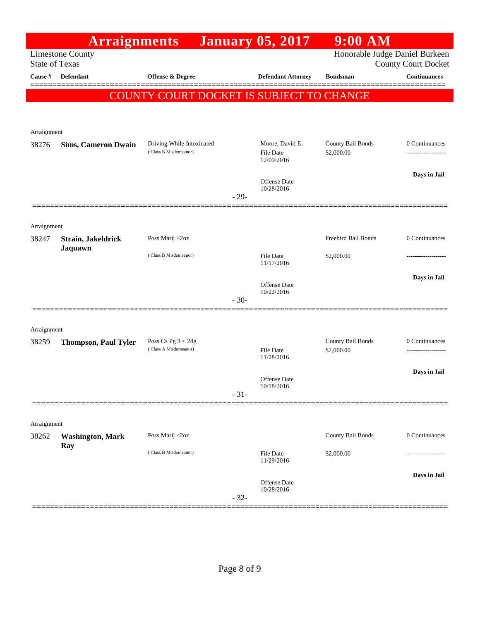|                       | <b>Arraignments</b>         |                                                    |        | <b>January 05, 2017</b>             | $9:00$ AM                       |                                                              |
|-----------------------|-----------------------------|----------------------------------------------------|--------|-------------------------------------|---------------------------------|--------------------------------------------------------------|
| <b>State of Texas</b> | <b>Limestone County</b>     |                                                    |        |                                     |                                 | Honorable Judge Daniel Burkeen<br><b>County Court Docket</b> |
| Cause #               | Defendant                   | <b>Offense &amp; Degree</b>                        |        | <b>Defendant Attorney</b>           | <b>Bondsman</b>                 | <b>Continuances</b>                                          |
|                       |                             | COUNTY COURT DOCKET IS SUBJECT TO CHANGE           |        |                                     |                                 |                                                              |
|                       |                             |                                                    |        |                                     |                                 |                                                              |
| Arraignment           |                             |                                                    |        |                                     |                                 |                                                              |
| 38276                 | <b>Sims, Cameron Dwain</b>  | Driving While Intoxicated<br>(Class B Misdemeanor) |        | Moore, David E.<br><b>File Date</b> | County Bail Bonds<br>\$2,000.00 | 0 Continuances                                               |
|                       |                             |                                                    |        | 12/09/2016                          |                                 |                                                              |
|                       |                             |                                                    |        | <b>Offense</b> Date                 |                                 | Days in Jail                                                 |
|                       |                             |                                                    | $-29-$ | 10/28/2016                          |                                 |                                                              |
|                       |                             |                                                    |        |                                     |                                 |                                                              |
| Arraignment           |                             |                                                    |        |                                     |                                 |                                                              |
| 38247                 | Strain, Jakeldrick          | Poss Marij <2oz                                    |        |                                     | Freebird Bail Bonds             | 0 Continuances                                               |
|                       | Jaquawn                     | (Class B Misdemeanor)                              |        | <b>File Date</b><br>11/17/2016      | \$2,000.00                      |                                                              |
|                       |                             |                                                    |        |                                     |                                 | Days in Jail                                                 |
|                       |                             |                                                    |        | Offense Date<br>10/22/2016          |                                 |                                                              |
|                       |                             |                                                    | $-30-$ |                                     |                                 |                                                              |
|                       |                             |                                                    |        |                                     |                                 |                                                              |
| Arraignment<br>38259  |                             | Poss Cs Pg $3 < 28g$                               |        |                                     | County Bail Bonds               | 0 Continuances                                               |
|                       | <b>Thompson, Paul Tyler</b> | (Class A Misdemeanor)                              |        | <b>File Date</b><br>11/28/2016      | \$2,000.00                      |                                                              |
|                       |                             |                                                    |        |                                     |                                 | Days in Jail                                                 |
|                       |                             |                                                    |        | <b>Offense</b> Date<br>10/18/2016   |                                 |                                                              |
|                       |                             |                                                    | $-31-$ |                                     |                                 |                                                              |
|                       |                             |                                                    |        |                                     |                                 |                                                              |
| Arraignment<br>38262  | <b>Washington, Mark</b>     | Poss Marij <2oz                                    |        |                                     | County Bail Bonds               | 0 Continuances                                               |
|                       | Ray                         | (Class B Misdemeanor)                              |        | File Date                           |                                 |                                                              |
|                       |                             |                                                    |        | 11/29/2016                          | \$2,000.00                      |                                                              |
|                       |                             |                                                    |        | <b>Offense</b> Date                 |                                 | Days in Jail                                                 |
|                       |                             |                                                    | $-32-$ | 10/28/2016                          |                                 |                                                              |
|                       |                             |                                                    |        |                                     |                                 |                                                              |